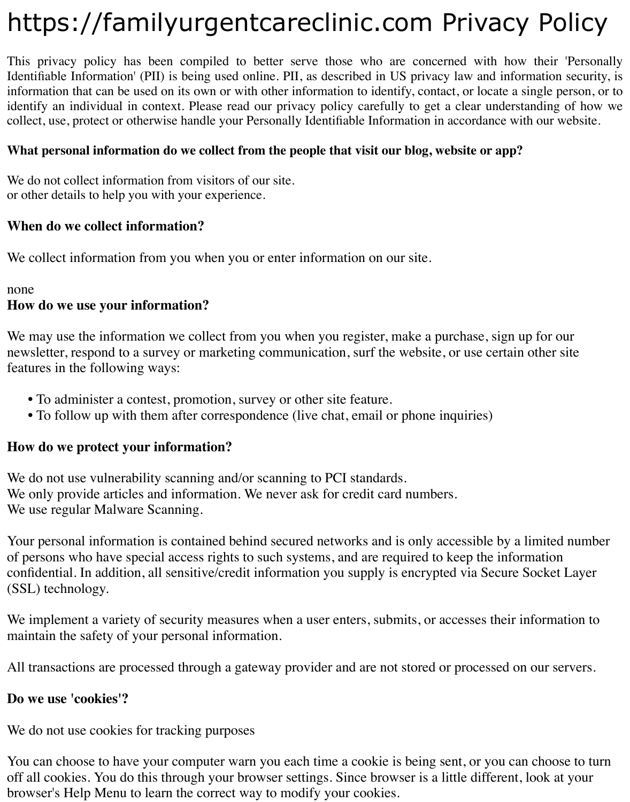# https://familyurgentcareclinic.com Privacy Policy

This privacy policy has been compiled to better serve those who are concerned with how their 'Personally Identifiable Information' (PII) is being used online. PII, as described in US privacy law and information security, is information that can be used on its own or with other information to identify, contact, or locate a single person, or to identify an individual in context. Please read our privacy policy carefully to get a clear understanding of how we collect, use, protect or otherwise handle your Personally Identifiable Information in accordance with our website.

#### **What personal information do we collect from the people that visit our blog, website or app?**

We do not collect information from visitors of our site. or other details to help you with your experience.

#### **When do we collect information?**

We collect information from you when you or enter information on our site.

#### none

#### **How do we use your information?**

We may use the information we collect from you when you register, make a purchase, sign up for our newsletter, respond to a survey or marketing communication, surf the website, or use certain other site features in the following ways:

- **•** To administer a contest, promotion, survey or other site feature.
- **•** To follow up with them after correspondence (live chat, email or phone inquiries)

#### **How do we protect your information?**

We do not use vulnerability scanning and/or scanning to PCI standards. We only provide articles and information. We never ask for credit card numbers. We use regular Malware Scanning.

Your personal information is contained behind secured networks and is only accessible by a limited number of persons who have special access rights to such systems, and are required to keep the information confidential. In addition, all sensitive/credit information you supply is encrypted via Secure Socket Layer (SSL) technology.

We implement a variety of security measures when a user enters, submits, or accesses their information to maintain the safety of your personal information.

All transactions are processed through a gateway provider and are not stored or processed on our servers.

#### **Do we use 'cookies'?**

We do not use cookies for tracking purposes

You can choose to have your computer warn you each time a cookie is being sent, or you can choose to turn off all cookies. You do this through your browser settings. Since browser is a little different, look at your browser's Help Menu to learn the correct way to modify your cookies.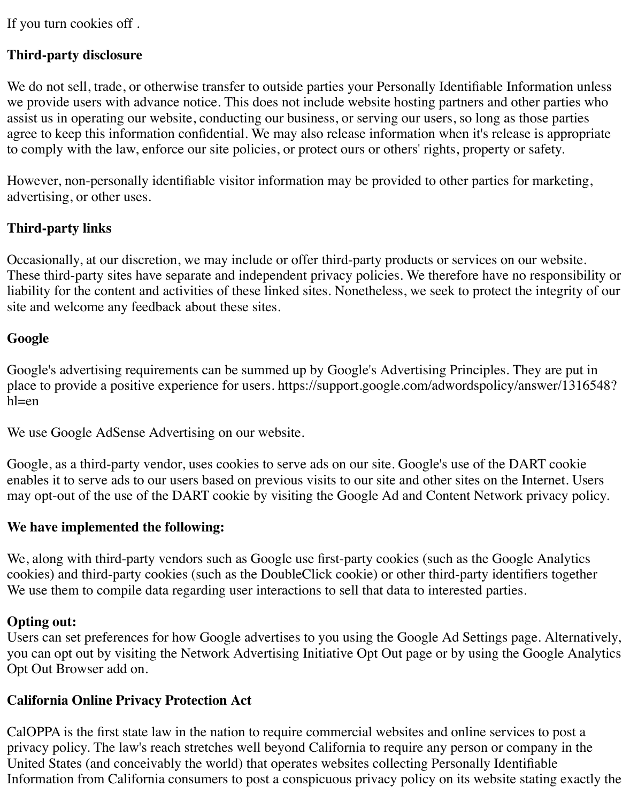If you turn cookies off .

#### **Third-party disclosure**

We do not sell, trade, or otherwise transfer to outside parties your Personally Identifiable Information unless we provide users with advance notice. This does not include website hosting partners and other parties who assist us in operating our website, conducting our business, or serving our users, so long as those parties agree to keep this information confidential. We may also release information when it's release is appropriate to comply with the law, enforce our site policies, or protect ours or others' rights, property or safety.

However, non-personally identifiable visitor information may be provided to other parties for marketing, advertising, or other uses.

#### **Third-party links**

Occasionally, at our discretion, we may include or offer third-party products or services on our website. These third-party sites have separate and independent privacy policies. We therefore have no responsibility or liability for the content and activities of these linked sites. Nonetheless, we seek to protect the integrity of our site and welcome any feedback about these sites.

#### **Google**

Google's advertising requirements can be summed up by Google's Advertising Principles. They are put in place to provide a positive experience for users. https://support.google.com/adwordspolicy/answer/1316548? hl=en

We use Google AdSense Advertising on our website.

Google, as a third-party vendor, uses cookies to serve ads on our site. Google's use of the DART cookie enables it to serve ads to our users based on previous visits to our site and other sites on the Internet. Users may opt-out of the use of the DART cookie by visiting the Google Ad and Content Network privacy policy.

#### **We have implemented the following:**

We, along with third-party vendors such as Google use first-party cookies (such as the Google Analytics cookies) and third-party cookies (such as the DoubleClick cookie) or other third-party identifiers together We use them to compile data regarding user interactions to sell that data to interested parties.

#### **Opting out:**

Users can set preferences for how Google advertises to you using the Google Ad Settings page. Alternatively, you can opt out by visiting the Network Advertising Initiative Opt Out page or by using the Google Analytics Opt Out Browser add on.

#### **California Online Privacy Protection Act**

CalOPPA is the first state law in the nation to require commercial websites and online services to post a privacy policy. The law's reach stretches well beyond California to require any person or company in the United States (and conceivably the world) that operates websites collecting Personally Identifiable Information from California consumers to post a conspicuous privacy policy on its website stating exactly the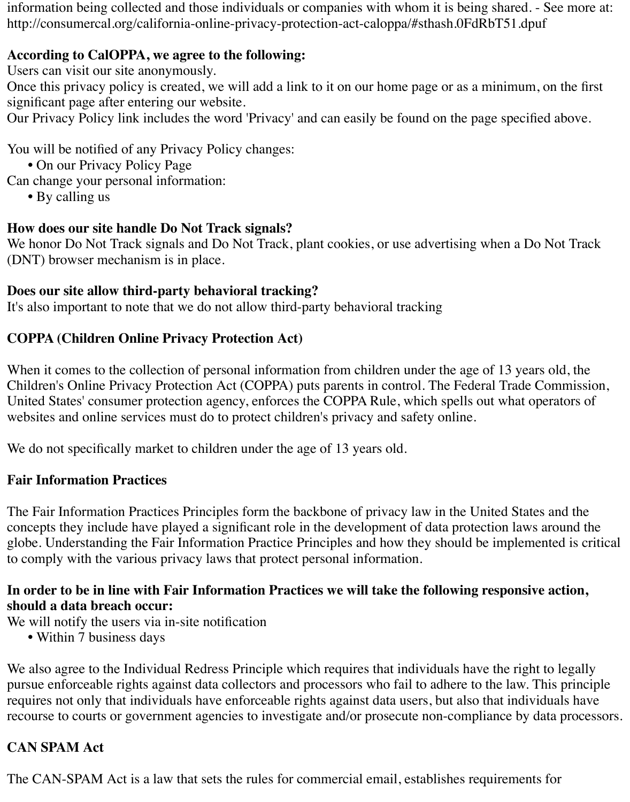information being collected and those individuals or companies with whom it is being shared. - See more at: http://consumercal.org/california-online-privacy-protection-act-caloppa/#sthash.0FdRbT51.dpuf

#### **According to CalOPPA, we agree to the following:**

Users can visit our site anonymously.

Once this privacy policy is created, we will add a link to it on our home page or as a minimum, on the first significant page after entering our website.

Our Privacy Policy link includes the word 'Privacy' and can easily be found on the page specified above.

You will be notified of any Privacy Policy changes:

- **•** On our Privacy Policy Page
- Can change your personal information:
	- **•** By calling us

# **How does our site handle Do Not Track signals?**

We honor Do Not Track signals and Do Not Track, plant cookies, or use advertising when a Do Not Track (DNT) browser mechanism is in place.

## **Does our site allow third-party behavioral tracking?**

It's also important to note that we do not allow third-party behavioral tracking

# **COPPA (Children Online Privacy Protection Act)**

When it comes to the collection of personal information from children under the age of 13 years old, the Children's Online Privacy Protection Act (COPPA) puts parents in control. The Federal Trade Commission, United States' consumer protection agency, enforces the COPPA Rule, which spells out what operators of websites and online services must do to protect children's privacy and safety online.

We do not specifically market to children under the age of 13 years old.

# **Fair Information Practices**

The Fair Information Practices Principles form the backbone of privacy law in the United States and the concepts they include have played a significant role in the development of data protection laws around the globe. Understanding the Fair Information Practice Principles and how they should be implemented is critical to comply with the various privacy laws that protect personal information.

### **In order to be in line with Fair Information Practices we will take the following responsive action, should a data breach occur:**

We will notify the users via in-site notification

**•** Within 7 business days

We also agree to the Individual Redress Principle which requires that individuals have the right to legally pursue enforceable rights against data collectors and processors who fail to adhere to the law. This principle requires not only that individuals have enforceable rights against data users, but also that individuals have recourse to courts or government agencies to investigate and/or prosecute non-compliance by data processors.

# **CAN SPAM Act**

The CAN-SPAM Act is a law that sets the rules for commercial email, establishes requirements for